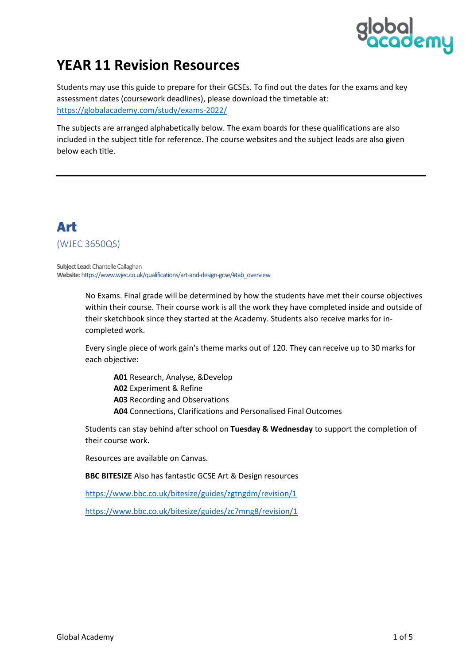

# **YEAR 11 Revision Resources**

Students may use this guide to prepare for their GCSEs. To find out the dates for the exams and key assessment dates (coursework deadlines), please download the timetable at: <https://globalacademy.com/study/exams-2022/>

The subjects are arranged alphabetically below. The exam boards for these qualifications are also included in the subject title for reference. The course websites and the subject leads are also given below each title.

#### Art (WJEC 3650QS)

**Subject Lead**: Chantelle Callaghan **Website**[: https://www.wjec.co.uk/qualifications/art-and-design-gcse/#tab\\_overview](https://www.wjec.co.uk/qualifications/art-and-design-gcse/#tab_overview)

> No Exams. Final grade will be determined by how the students have met their course objectives within their course. Their course work is all the work they have completed inside and outside of their sketchbook since they started at the Academy. Students also receive marks for incompleted work.

Every single piece of work gain's theme marks out of 120. They can receive up to 30 marks for each objective:

**A01** Research, Analyse, &Develop **A02** Experiment & Refine **A03** Recording and Observations **A04** Connections, Clarifications and Personalised Final Outcomes

Students can stay behind after school on **Tuesday & Wednesday** to support the completion of their course work.

Resources are available on Canvas.

#### **BBC BITESIZE** Also has fantastic GCSE Art & Design resources

<https://www.bbc.co.uk/bitesize/guides/zgtngdm/revision/1>

<https://www.bbc.co.uk/bitesize/guides/zc7mng8/revision/1>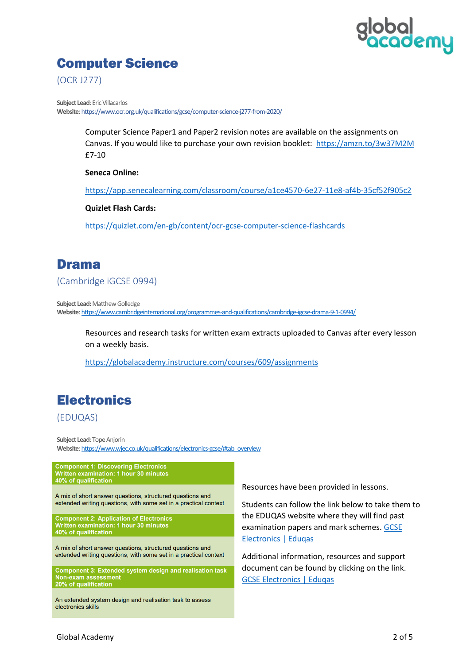

### Computer Science

(OCR J277)

**Subject Lead**: Eric Villacarlos **Website**[: https://www.ocr.org.uk/qualifications/gcse/computer-science-j277-from-2020/](https://www.ocr.org.uk/qualifications/gcse/computer-science-j277-from-2020/)

> Computer Science Paper1 and Paper2 revision notes are available on the assignments on Canvas. If you would like to purchase your own revision booklet:<https://amzn.to/3w37M2M> £7-10

**Seneca Online:**

<https://app.senecalearning.com/classroom/course/a1ce4570-6e27-11e8-af4b-35cf52f905c2>

**Quizlet Flash Cards:**

<https://quizlet.com/en-gb/content/ocr-gcse-computer-science-flashcards>

#### Drama

(Cambridge iGCSE 0994)

**Subject Lead: Matthew Golledge Website**[: https://www.cambridgeinternational.org/programmes-and-qualifications/cambridge-igcse-drama-9-1-0994/](https://www.cambridgeinternational.org/programmes-and-qualifications/cambridge-igcse-drama-9-1-0994/)

Resources and research tasks for written exam extracts uploaded to Canvas after every lesson on a weekly basis.

<https://globalacademy.instructure.com/courses/609/assignments>

# **Electronics**

#### (EDUQAS)

**Subject Lead**: Tope Anjorin **Website**[: https://www.wjec.co.uk/qualifications/electronics-gcse/#tab\\_overview](https://www.wjec.co.uk/qualifications/electronics-gcse/#tab_overview)

**Component 1: Discovering Electronics** Written examination: 1 hour 30 minutes 40% of qualification

A mix of short answer questions, structured questions and extended writing questions, with some set in a practical context

Component 2: Application of Electronics<br>Written examination: 1 hour 30 minutes<br>40% of qualification

A mix of short answer questions, structured questions and extended writing questions, with some set in a practical context

Component 3: Extended system design and realisation task Non-exam assessment 20% of qualification

An extended system design and realisation task to assess electronics skills

Resources have been provided in lessons.

Students can follow the link below to take them to the EDUQAS website where they will find past examination papers and mark schemes. [GCSE](https://www.eduqas.co.uk/qualifications/electronics-gcse/#tab_pastpapers)  [Electronics | Eduqas](https://www.eduqas.co.uk/qualifications/electronics-gcse/#tab_pastpapers)

Additional information, resources and support document can be found by clicking on the link. [GCSE Electronics | Eduqas](https://www.eduqas.co.uk/qualifications/electronics-gcse/?sub_nav_level=course-materials#tab_resources)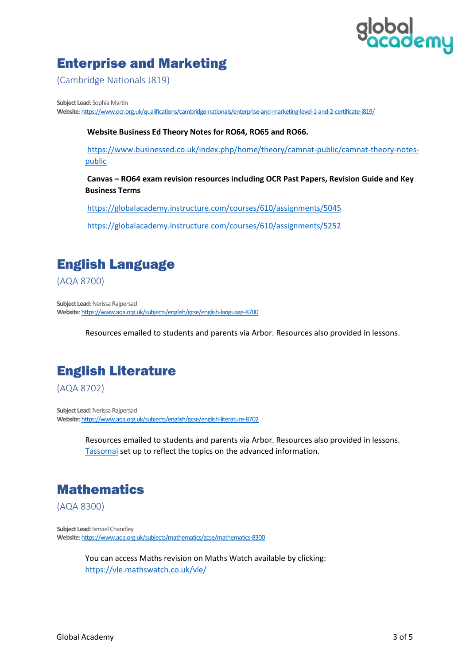# al<br>ademy

## Enterprise and Marketing

(Cambridge Nationals J819)

**Subject Lead**: Sophia Martin **Website**[:https://www.ocr.org.uk/qualifications/cambridge-nationals/enterprise-and-marketing-level-1-and-2-certificate-j819/](https://www.ocr.org.uk/qualifications/cambridge-nationals/enterprise-and-marketing-level-1-and-2-certificate-j819/)

**Website Business Ed Theory Notes for RO64, RO65 and RO66.**

[https://www.businessed.co.uk/index.php/home/theory/camnat-public/camnat-theory-notes](https://www.businessed.co.uk/index.php/home/theory/camnat-public/camnat-theory-notes-public)[public](https://www.businessed.co.uk/index.php/home/theory/camnat-public/camnat-theory-notes-public)

**Canvas – RO64 exam revision resources including OCR Past Papers, Revision Guide and Key Business Terms**

<https://globalacademy.instructure.com/courses/610/assignments/5045>

<https://globalacademy.instructure.com/courses/610/assignments/5252>

## English Language

(AQA 8700)

**Subject Lead: Nerissa Rajpersad Website**[:https://www.aqa.org.uk/subjects/english/gcse/english-language-8700](https://www.aqa.org.uk/subjects/english/gcse/english-language-8700)

Resources emailed to students and parents via Arbor. Resources also provided in lessons.

# English Literature

(AQA 8702)

**Subject Lead: Nerissa Rajpersad Website**[: https://www.aqa.org.uk/subjects/english/gcse/english-literature-8702](https://www.aqa.org.uk/subjects/english/gcse/english-literature-8702)

> Resources emailed to students and parents via Arbor. Resources also provided in lessons. [Tassomai](https://www.tassomai.com/) set up to reflect the topics on the advanced information.

#### **Mathematics**

(AQA 8300)

**Subject Lead: Ismael Chandley Website**[: https://www.aqa.org.uk/subjects/mathematics/gcse/mathematics-8300](https://www.aqa.org.uk/subjects/mathematics/gcse/mathematics-8300)

> You can access Maths revision on Maths Watch available by clicking: <https://vle.mathswatch.co.uk/vle/>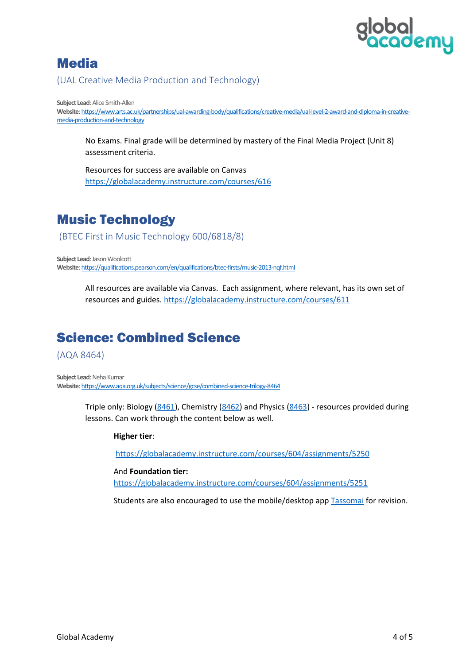

#### **Media**

(UAL Creative Media Production and Technology)

**Subject Lead: Alice Smith-Allen Website**[: https://www.arts.ac.uk/partnerships/ual-awarding-body/qualifications/creative-media/ual-level-2-award-and-diploma-in-creative](https://www.arts.ac.uk/partnerships/ual-awarding-body/qualifications/creative-media/ual-level-2-award-and-diploma-in-creative-media-production-and-technology)[media-production-and-technology](https://www.arts.ac.uk/partnerships/ual-awarding-body/qualifications/creative-media/ual-level-2-award-and-diploma-in-creative-media-production-and-technology)

No Exams. Final grade will be determined by mastery of the Final Media Project (Unit 8) assessment criteria.

Resources for success are available on Canvas <https://globalacademy.instructure.com/courses/616>

### Music Technology

(BTEC First in Music Technology 600/6818/8)

**Subject Lead: Jason Woolcott Website**[: https://qualifications.pearson.com/en/qualifications/btec-firsts/music-2013-nqf.html](https://qualifications.pearson.com/en/qualifications/btec-firsts/music-2013-nqf.html)

> All resources are available via Canvas. Each assignment, where relevant, has its own set of resources and guides. <https://globalacademy.instructure.com/courses/611>

#### Science: Combined Science

(AQA 8464)

**Subject Lead: Neha Kumar Website**[: https://www.aqa.org.uk/subjects/science/gcse/combined-science-trilogy-8464](https://www.aqa.org.uk/subjects/science/gcse/combined-science-trilogy-8464)

> Triple only: Biology [\(8461\)](https://www.aqa.org.uk/subjects/science/gcse/biology-8461), Chemistry [\(8462\)](https://www.aqa.org.uk/subjects/science/gcse/chemistry-8462) and Physics [\(8463\)](https://www.aqa.org.uk/subjects/science/gcse/physics-8463) - resources provided during lessons. Can work through the content below as well.

#### **Higher tier**:

<https://globalacademy.instructure.com/courses/604/assignments/5250>

And **Foundation tier:** <https://globalacademy.instructure.com/courses/604/assignments/5251>

Students are also encouraged to use the mobile/desktop app [Tassomai](https://www.tassomai.com/) for revision.